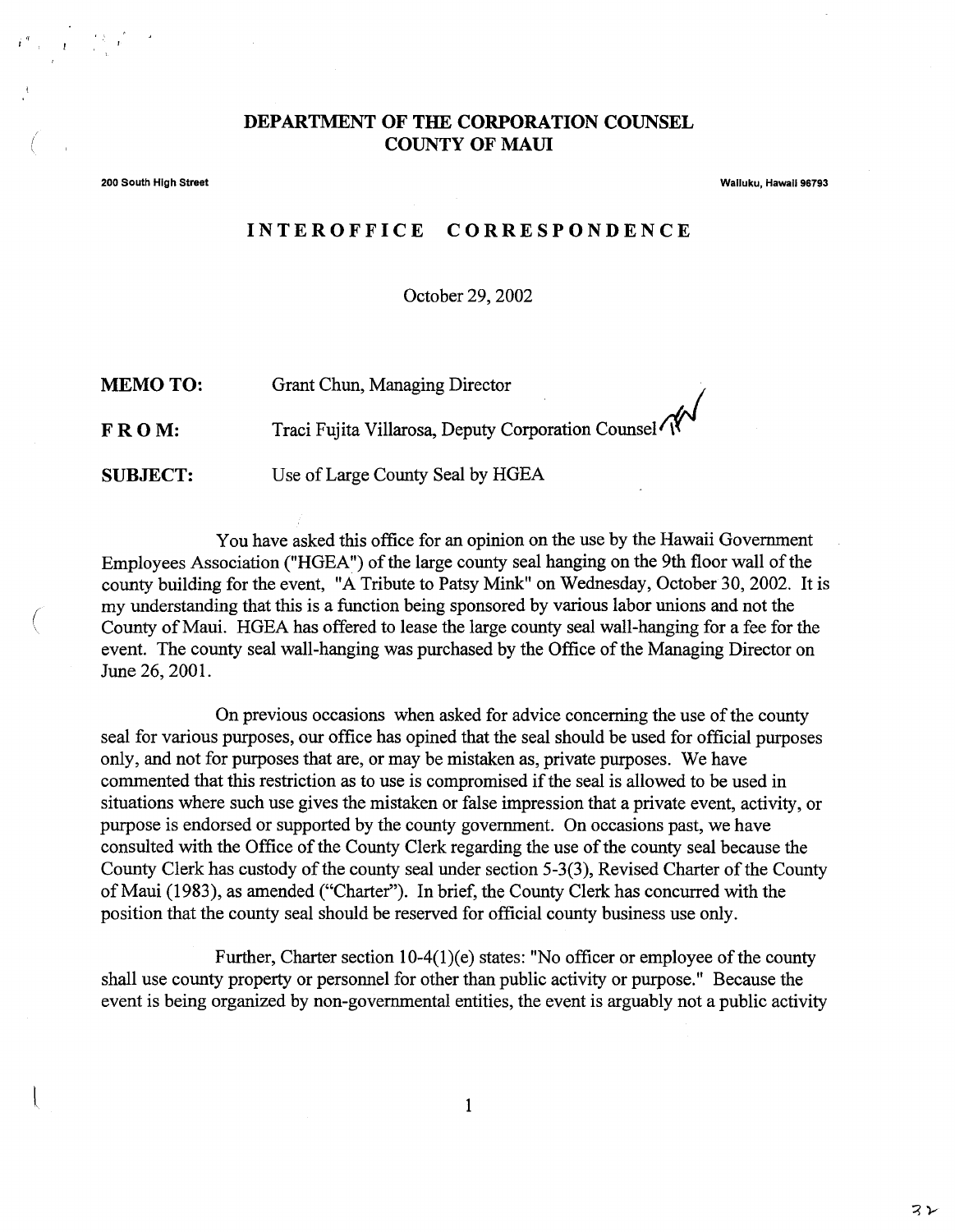## **DEPARTMENT OF THE CORPORATION COUNSEL COUNTY OF MAUl**

200 South High Street Wailuku, HawaII 96793

(  $\overline{\phantom{a}}$ 

## **INTEROFFICE CORRESPONDENCE**

October 29,2002

MEMO TO: **FROM: SUBJECT:** Grant Chun, Managing Director Traci Fujita Villarosa, Deputy Corporation Counsel<sup>(1)</sup> Use ofLarge County Seal by HGEA

You have asked this office for an opinion on the use by the Hawaii Government Employees Association ("HGEA") of the large county seal hanging on the 9th floor wall of the county building for the event, "A Tribute to Patsy Mink" on Wednesday, October 30,2002. It is my understanding that this is a function being sponsored by various labor unions and not the County of Maui. HGEA has offered to lease the large county seal wall-hanging for a fee for the event. The county seal wall-hanging was purchased by the Office of the Managing Director on June 26, 2001.

On previous occasions when asked for advice concerning the use of the county seal for various purposes, our office has opined that the seal should be used for official purposes only, and not for purposes that are, or may be mistaken as, private purposes. We have commented that this restriction as to use is compromised if the seal is allowed to be used in situations where such use gives the mistaken or false impression that a private event, activity, or purpose is endorsed or supported by the county government. On occasions past, we have consulted with the Office of the County Clerk regarding the use of the county seal because the County Clerk has custody of the county seal under section 5-3(3), Revised Charter of the County of Maui (1983), as amended ("Charter"). In brief, the County Clerk has concurred with the position that the county seal should be reserved for official county business use only.

Further, Charter section  $10-4(1)(e)$  states: "No officer or employee of the county shall use county property or personnel for other than public activity or purpose." Because the event is being organized by non-governmental entities, the event is arguably not a public activity